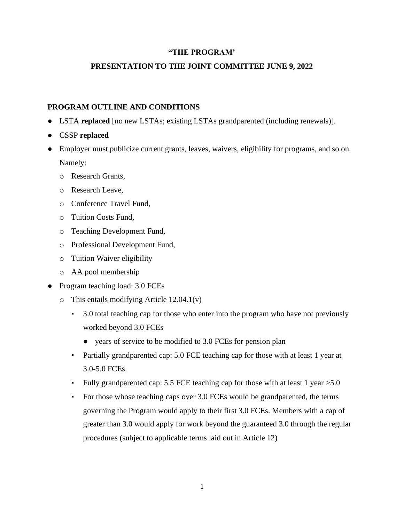#### **"THE PROGRAM'**

### **PRESENTATION TO THE JOINT COMMITTEE JUNE 9, 2022**

### **PROGRAM OUTLINE AND CONDITIONS**

- LSTA **replaced** [no new LSTAs; existing LSTAs grandparented (including renewals)].
- CSSP **replaced**
- Employer must publicize current grants, leaves, waivers, eligibility for programs, and so on. Namely:
	- o Research Grants,
	- o Research Leave,
	- o Conference Travel Fund,
	- o Tuition Costs Fund,
	- o Teaching Development Fund,
	- o Professional Development Fund,
	- o Tuition Waiver eligibility
	- o AA pool membership
- Program teaching load: 3.0 FCEs
	- o This entails modifying Article 12.04.1(v)
		- 3.0 total teaching cap for those who enter into the program who have not previously worked beyond 3.0 FCEs
			- years of service to be modified to 3.0 FCEs for pension plan
		- Partially grandparented cap: 5.0 FCE teaching cap for those with at least 1 year at 3.0-5.0 FCEs.
		- Fully grandparented cap: 5.5 FCE teaching cap for those with at least 1 year  $>5.0$
		- For those whose teaching caps over 3.0 FCEs would be grandparented, the terms governing the Program would apply to their first 3.0 FCEs. Members with a cap of greater than 3.0 would apply for work beyond the guaranteed 3.0 through the regular procedures (subject to applicable terms laid out in Article 12)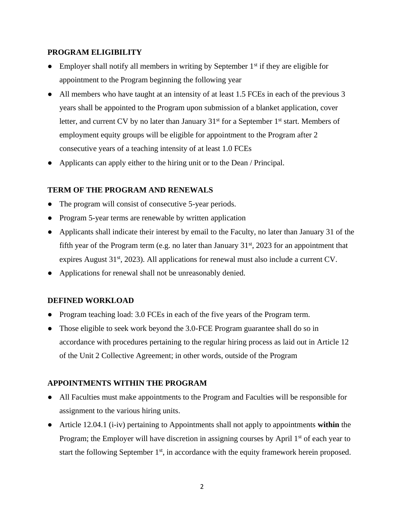#### **PROGRAM ELIGIBILITY**

- Employer shall notify all members in writing by September  $1<sup>st</sup>$  if they are eligible for appointment to the Program beginning the following year
- All members who have taught at an intensity of at least 1.5 FCEs in each of the previous 3 years shall be appointed to the Program upon submission of a blanket application, cover letter, and current CV by no later than January  $31<sup>st</sup>$  for a September  $1<sup>st</sup>$  start. Members of employment equity groups will be eligible for appointment to the Program after 2 consecutive years of a teaching intensity of at least 1.0 FCEs
- Applicants can apply either to the hiring unit or to the Dean / Principal.

### **TERM OF THE PROGRAM AND RENEWALS**

- The program will consist of consecutive 5-year periods.
- Program 5-year terms are renewable by written application
- Applicants shall indicate their interest by email to the Faculty, no later than January 31 of the fifth year of the Program term (e.g. no later than January  $31<sup>st</sup>$ , 2023 for an appointment that expires August  $31<sup>st</sup>$ , 2023). All applications for renewal must also include a current CV.
- Applications for renewal shall not be unreasonably denied.

#### **DEFINED WORKLOAD**

- Program teaching load: 3.0 FCEs in each of the five years of the Program term.
- Those eligible to seek work beyond the 3.0-FCE Program guarantee shall do so in accordance with procedures pertaining to the regular hiring process as laid out in Article 12 of the Unit 2 Collective Agreement; in other words, outside of the Program

## **APPOINTMENTS WITHIN THE PROGRAM**

- All Faculties must make appointments to the Program and Faculties will be responsible for assignment to the various hiring units.
- Article 12.04.1 (i-iv) pertaining to Appointments shall not apply to appointments **within** the Program; the Employer will have discretion in assigning courses by April  $1<sup>st</sup>$  of each year to start the following September  $1<sup>st</sup>$ , in accordance with the equity framework herein proposed.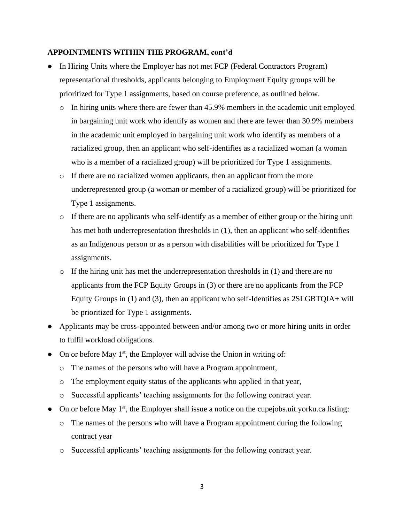#### **APPOINTMENTS WITHIN THE PROGRAM, cont'd**

- In Hiring Units where the Employer has not met FCP (Federal Contractors Program) representational thresholds, applicants belonging to Employment Equity groups will be prioritized for Type 1 assignments, based on course preference, as outlined below.
	- o In hiring units where there are fewer than 45.9% members in the academic unit employed in bargaining unit work who identify as women and there are fewer than 30.9% members in the academic unit employed in bargaining unit work who identify as members of a racialized group, then an applicant who self-identifies as a racialized woman (a woman who is a member of a racialized group) will be prioritized for Type 1 assignments.
	- o If there are no racialized women applicants, then an applicant from the more underrepresented group (a woman or member of a racialized group) will be prioritized for Type 1 assignments.
	- o If there are no applicants who self-identify as a member of either group or the hiring unit has met both underrepresentation thresholds in (1), then an applicant who self-identifies as an Indigenous person or as a person with disabilities will be prioritized for Type 1 assignments.
	- $\circ$  If the hiring unit has met the underrepresentation thresholds in (1) and there are no applicants from the FCP Equity Groups in (3) or there are no applicants from the FCP Equity Groups in (1) and (3), then an applicant who self-Identifies as 2SLGBTQIA**+** will be prioritized for Type 1 assignments.
- Applicants may be cross-appointed between and/or among two or more hiring units in order to fulfil workload obligations.
- On or before May 1<sup>st</sup>, the Employer will advise the Union in writing of:
	- o The names of the persons who will have a Program appointment,
	- o The employment equity status of the applicants who applied in that year,
	- o Successful applicants' teaching assignments for the following contract year.
- On or before May  $1<sup>st</sup>$ , the Employer shall issue a notice on the cupejobs.uit.yorku.ca listing:
	- o The names of the persons who will have a Program appointment during the following contract year
	- o Successful applicants' teaching assignments for the following contract year.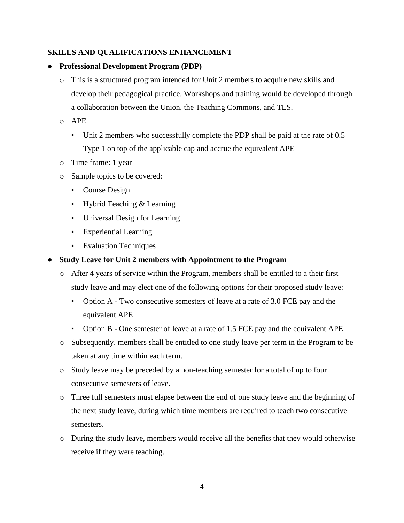## **SKILLS AND QUALIFICATIONS ENHANCEMENT**

#### ● **Professional Development Program (PDP)**

- o This is a structured program intended for Unit 2 members to acquire new skills and develop their pedagogical practice. Workshops and training would be developed through a collaboration between the Union, the Teaching Commons, and TLS.
- o APE
	- Unit 2 members who successfully complete the PDP shall be paid at the rate of 0.5 Type 1 on top of the applicable cap and accrue the equivalent APE
- o Time frame: 1 year
- o Sample topics to be covered:
	- Course Design
	- Hybrid Teaching & Learning
	- Universal Design for Learning
	- **Experiential Learning**
	- **•** Evaluation Techniques

#### **Study Leave for Unit 2 members with Appointment to the Program**

- o After 4 years of service within the Program, members shall be entitled to a their first study leave and may elect one of the following options for their proposed study leave:
	- Option A Two consecutive semesters of leave at a rate of 3.0 FCE pay and the equivalent APE
	- Option B One semester of leave at a rate of 1.5 FCE pay and the equivalent APE
- o Subsequently, members shall be entitled to one study leave per term in the Program to be taken at any time within each term.
- o Study leave may be preceded by a non-teaching semester for a total of up to four consecutive semesters of leave.
- o Three full semesters must elapse between the end of one study leave and the beginning of the next study leave, during which time members are required to teach two consecutive semesters.
- o During the study leave, members would receive all the benefits that they would otherwise receive if they were teaching.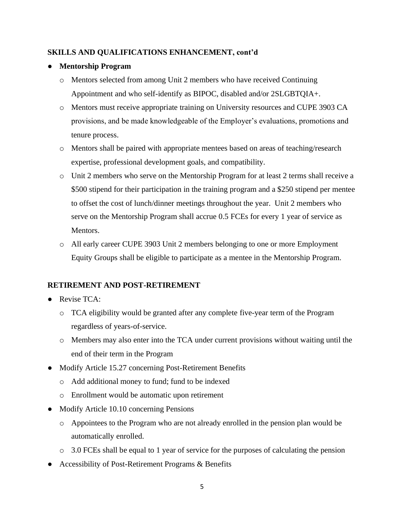### **SKILLS AND QUALIFICATIONS ENHANCEMENT, cont'd**

### ● **Mentorship Program**

- o Mentors selected from among Unit 2 members who have received Continuing Appointment and who self-identify as BIPOC, disabled and/or 2SLGBTQIA+.
- o Mentors must receive appropriate training on University resources and CUPE 3903 CA provisions, and be made knowledgeable of the Employer's evaluations, promotions and tenure process.
- o Mentors shall be paired with appropriate mentees based on areas of teaching/research expertise, professional development goals, and compatibility.
- o Unit 2 members who serve on the Mentorship Program for at least 2 terms shall receive a \$500 stipend for their participation in the training program and a \$250 stipend per mentee to offset the cost of lunch/dinner meetings throughout the year. Unit 2 members who serve on the Mentorship Program shall accrue 0.5 FCEs for every 1 year of service as Mentors.
- o All early career CUPE 3903 Unit 2 members belonging to one or more Employment Equity Groups shall be eligible to participate as a mentee in the Mentorship Program.

## **RETIREMENT AND POST-RETIREMENT**

- Revise TCA:
	- o TCA eligibility would be granted after any complete five-year term of the Program regardless of years-of-service.
	- o Members may also enter into the TCA under current provisions without waiting until the end of their term in the Program
- Modify Article 15.27 concerning Post-Retirement Benefits
	- o Add additional money to fund; fund to be indexed
	- o Enrollment would be automatic upon retirement
- Modify Article 10.10 concerning Pensions
	- o Appointees to the Program who are not already enrolled in the pension plan would be automatically enrolled.
	- o 3.0 FCEs shall be equal to 1 year of service for the purposes of calculating the pension
- Accessibility of Post-Retirement Programs & Benefits